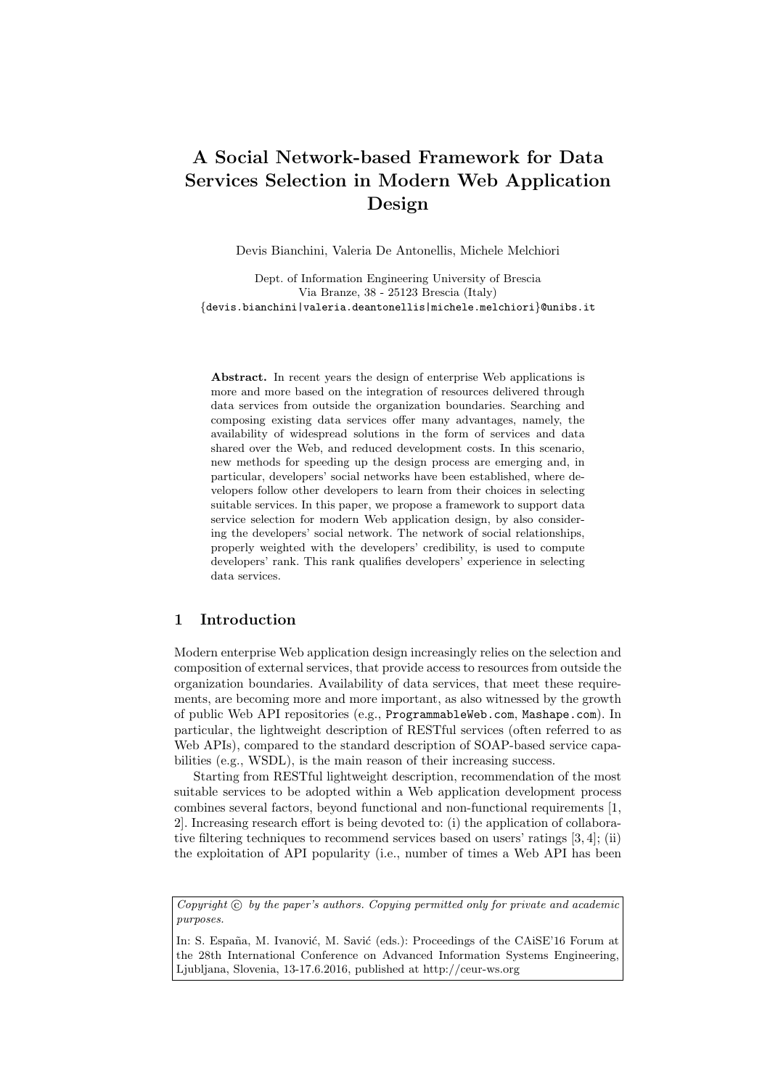# A Social Network-based Framework for Data Services Selection in Modern Web Application Design

Devis Bianchini, Valeria De Antonellis, Michele Melchiori

Dept. of Information Engineering University of Brescia Via Branze, 38 - 25123 Brescia (Italy) {devis.bianchini|valeria.deantonellis|michele.melchiori}@unibs.it

Abstract. In recent years the design of enterprise Web applications is more and more based on the integration of resources delivered through data services from outside the organization boundaries. Searching and composing existing data services offer many advantages, namely, the availability of widespread solutions in the form of services and data shared over the Web, and reduced development costs. In this scenario, new methods for speeding up the design process are emerging and, in particular, developers' social networks have been established, where developers follow other developers to learn from their choices in selecting suitable services. In this paper, we propose a framework to support data service selection for modern Web application design, by also considering the developers' social network. The network of social relationships, properly weighted with the developers' credibility, is used to compute developers' rank. This rank qualifies developers' experience in selecting data services.

## 1 Introduction

Modern enterprise Web application design increasingly relies on the selection and composition of external services, that provide access to resources from outside the organization boundaries. Availability of data services, that meet these requirements, are becoming more and more important, as also witnessed by the growth of public Web API repositories (e.g., ProgrammableWeb.com, Mashape.com). In particular, the lightweight description of RESTful services (often referred to as Web APIs), compared to the standard description of SOAP-based service capabilities (e.g., WSDL), is the main reason of their increasing success.

Starting from RESTful lightweight description, recommendation of the most suitable services to be adopted within a Web application development process combines several factors, beyond functional and non-functional requirements [1, 2]. Increasing research effort is being devoted to: (i) the application of collaborative filtering techniques to recommend services based on users' ratings [3, 4]; (ii) the exploitation of API popularity (i.e., number of times a Web API has been

In: S. España, M. Ivanović, M. Savić (eds.): Proceedings of the CAiSE'16 Forum at the 28th International Conference on Advanced Information Systems Engineering, Ljubljana, Slovenia, 13-17.6.2016, published at http://ceur-ws.org

Copyright  $\odot$  by the paper's authors. Copying permitted only for private and academic purposes.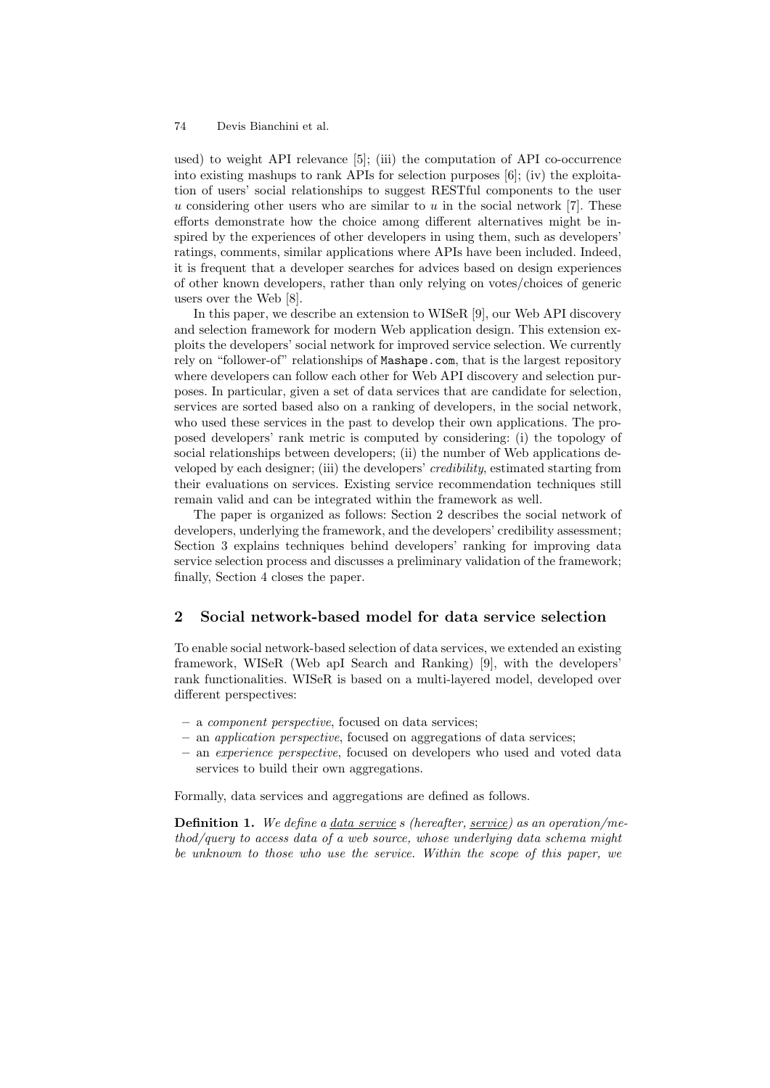used) to weight API relevance [5]; (iii) the computation of API co-occurrence into existing mashups to rank APIs for selection purposes [6]; (iv) the exploitation of users' social relationships to suggest RESTful components to the user u considering other users who are similar to  $u$  in the social network [7]. These efforts demonstrate how the choice among different alternatives might be inspired by the experiences of other developers in using them, such as developers' ratings, comments, similar applications where APIs have been included. Indeed, it is frequent that a developer searches for advices based on design experiences of other known developers, rather than only relying on votes/choices of generic users over the Web [8].

In this paper, we describe an extension to WISeR [9], our Web API discovery and selection framework for modern Web application design. This extension exploits the developers' social network for improved service selection. We currently rely on "follower-of" relationships of Mashape.com, that is the largest repository where developers can follow each other for Web API discovery and selection purposes. In particular, given a set of data services that are candidate for selection, services are sorted based also on a ranking of developers, in the social network, who used these services in the past to develop their own applications. The proposed developers' rank metric is computed by considering: (i) the topology of social relationships between developers; (ii) the number of Web applications developed by each designer; (iii) the developers' credibility, estimated starting from their evaluations on services. Existing service recommendation techniques still remain valid and can be integrated within the framework as well.

The paper is organized as follows: Section 2 describes the social network of developers, underlying the framework, and the developers' credibility assessment; Section 3 explains techniques behind developers' ranking for improving data service selection process and discusses a preliminary validation of the framework; finally, Section 4 closes the paper.

## 2 Social network-based model for data service selection

To enable social network-based selection of data services, we extended an existing framework, WISeR (Web apI Search and Ranking) [9], with the developers' rank functionalities. WISeR is based on a multi-layered model, developed over different perspectives:

- a component perspective, focused on data services;
- an application perspective, focused on aggregations of data services;
- an experience perspective, focused on developers who used and voted data services to build their own aggregations.

Formally, data services and aggregations are defined as follows.

**Definition 1.** We define a data service s (hereafter, service) as an operation/method/query to access data of a web source, whose underlying data schema might be unknown to those who use the service. Within the scope of this paper, we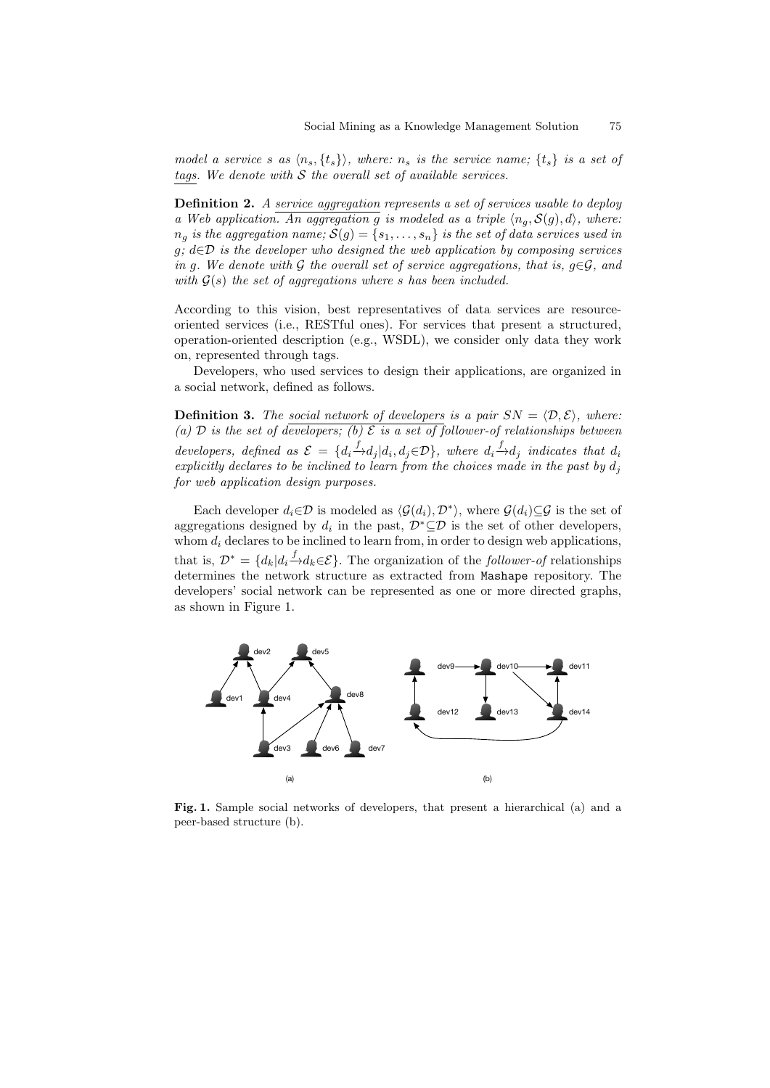model a service s as  $\langle n_s, \{t_s\} \rangle$ , where:  $n_s$  is the service name;  $\{t_s\}$  is a set of tags. We denote with  $S$  the overall set of available services.

**Definition 2.** A service aggregation represents a set of services usable to deploy a Web application. An aggregation g is modeled as a triple  $\langle n_a, S(g), d \rangle$ , where:  $n_q$  is the aggregation name;  $S(q) = \{s_1, \ldots, s_n\}$  is the set of data services used in  $g; d \in \mathcal{D}$  is the developer who designed the web application by composing services in g. We denote with G the overall set of service aggregations, that is,  $q \in \mathcal{G}$ , and with  $G(s)$  the set of aggregations where s has been included.

According to this vision, best representatives of data services are resourceoriented services (i.e., RESTful ones). For services that present a structured, operation-oriented description (e.g., WSDL), we consider only data they work on, represented through tags.

Developers, who used services to design their applications, are organized in a social network, defined as follows.

**Definition 3.** The social network of developers is a pair  $SN = \langle D, \mathcal{E} \rangle$ , where: (a)  $\mathcal D$  is the set of developers; (b)  $\mathcal E$  is a set of follower-of relationships between developers, defined as  $\mathcal{E} = \{d_i \xrightarrow{f} d_j | d_i, d_j \in \mathcal{D}\}\$ , where  $d_i \xrightarrow{f} d_j$  indicates that  $d_i$ explicitly declares to be inclined to learn from the choices made in the past by  $d_j$ for web application design purposes.

Each developer  $d_i \in \mathcal{D}$  is modeled as  $\langle \mathcal{G}(d_i), \mathcal{D}^* \rangle$ , where  $\mathcal{G}(d_i) \subseteq \mathcal{G}$  is the set of aggregations designed by  $d_i$  in the past,  $\mathcal{D}^* \subseteq \mathcal{D}$  is the set of other developers, whom  $d_i$  declares to be inclined to learn from, in order to design web applications, that is,  $\mathcal{D}^* = \{d_k | d_i \xrightarrow{f} d_k \in \mathcal{E}\}.$  The organization of the *follower-of* relationships determines the network structure as extracted from Mashape repository. The developers' social network can be represented as one or more directed graphs, as shown in Figure 1.



Fig. 1. Sample social networks of developers, that present a hierarchical (a) and a peer-based structure (b).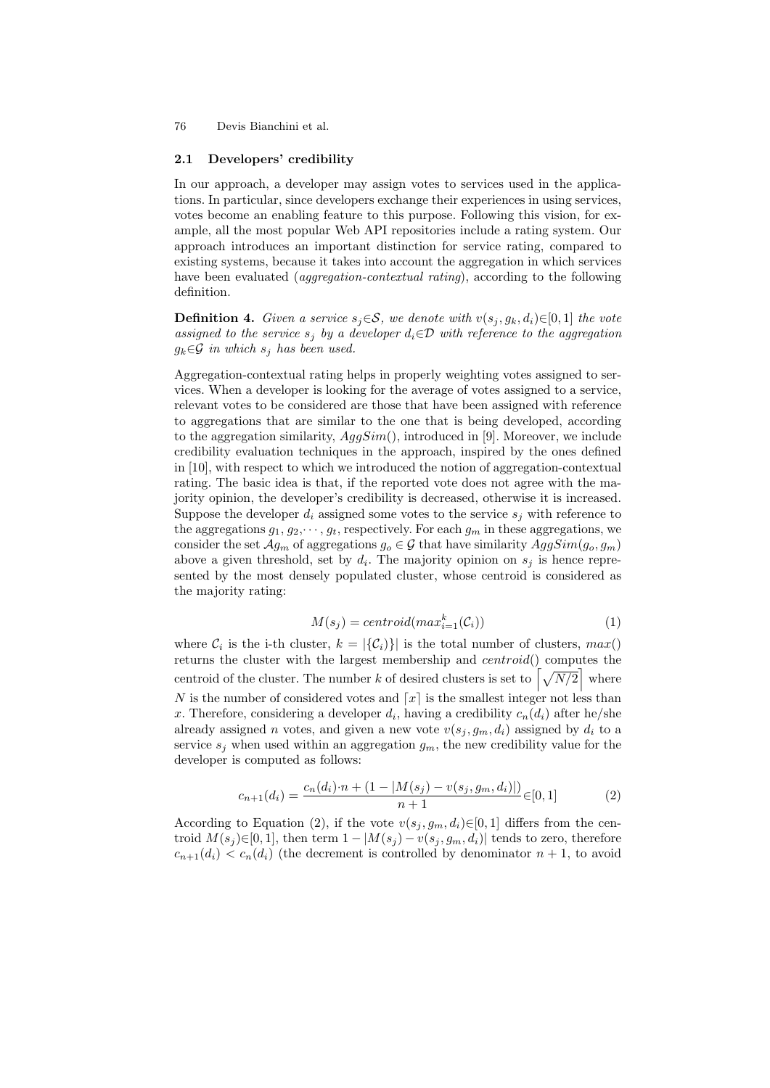#### 2.1 Developers' credibility

In our approach, a developer may assign votes to services used in the applications. In particular, since developers exchange their experiences in using services, votes become an enabling feature to this purpose. Following this vision, for example, all the most popular Web API repositories include a rating system. Our approach introduces an important distinction for service rating, compared to existing systems, because it takes into account the aggregation in which services have been evaluated (*aggregation-contextual rating*), according to the following definition.

**Definition 4.** Given a service  $s_j \in \mathcal{S}$ , we denote with  $v(s_j, g_k, d_i) \in [0, 1]$  the vote assigned to the service  $s_j$  by a developer  $d_i \in \mathcal{D}$  with reference to the aggregation  $g_k \in \mathcal{G}$  in which  $s_j$  has been used.

Aggregation-contextual rating helps in properly weighting votes assigned to services. When a developer is looking for the average of votes assigned to a service, relevant votes to be considered are those that have been assigned with reference to aggregations that are similar to the one that is being developed, according to the aggregation similarity,  $AggSim()$ , introduced in [9]. Moreover, we include credibility evaluation techniques in the approach, inspired by the ones defined in [10], with respect to which we introduced the notion of aggregation-contextual rating. The basic idea is that, if the reported vote does not agree with the majority opinion, the developer's credibility is decreased, otherwise it is increased. Suppose the developer  $d_i$  assigned some votes to the service  $s_i$  with reference to the aggregations  $g_1, g_2, \dots, g_t$ , respectively. For each  $g_m$  in these aggregations, we consider the set  $\mathcal{A}g_m$  of aggregations  $g_o \in \mathcal{G}$  that have similarity  $AggSim(g_o, g_m)$ above a given threshold, set by  $d_i$ . The majority opinion on  $s_j$  is hence represented by the most densely populated cluster, whose centroid is considered as the majority rating:

$$
M(s_j) = centroid(max_{i=1}^k(\mathcal{C}_i))
$$
\n(1)

where  $\mathcal{C}_i$  is the i-th cluster,  $k = |\{\mathcal{C}_i\}\}|$  is the total number of clusters,  $max()$ returns the cluster with the largest membership and centroid() computes the centroid of the cluster. The number k of desired clusters is set to  $\left[\sqrt{N/2}\right]$  where N is the number of considered votes and  $\lceil x \rceil$  is the smallest integer not less than x. Therefore, considering a developer  $d_i$ , having a credibility  $c_n(d_i)$  after he/she already assigned n votes, and given a new vote  $v(s_i, g_m, d_i)$  assigned by  $d_i$  to a service  $s_j$  when used within an aggregation  $g_m$ , the new credibility value for the developer is computed as follows:

$$
c_{n+1}(d_i) = \frac{c_n(d_i) \cdot n + (1 - |M(s_j) - v(s_j, g_m, d_i)|)}{n+1} \in [0, 1]
$$
(2)

According to Equation (2), if the vote  $v(s_j, g_m, d_i) \in [0, 1]$  differs from the centroid  $M(s_j) \in [0, 1]$ , then term  $1 - |M(s_j) - v(s_j, g_m, d_i)|$  tends to zero, therefore  $c_{n+1}(d_i) < c_n(d_i)$  (the decrement is controlled by denominator  $n+1$ , to avoid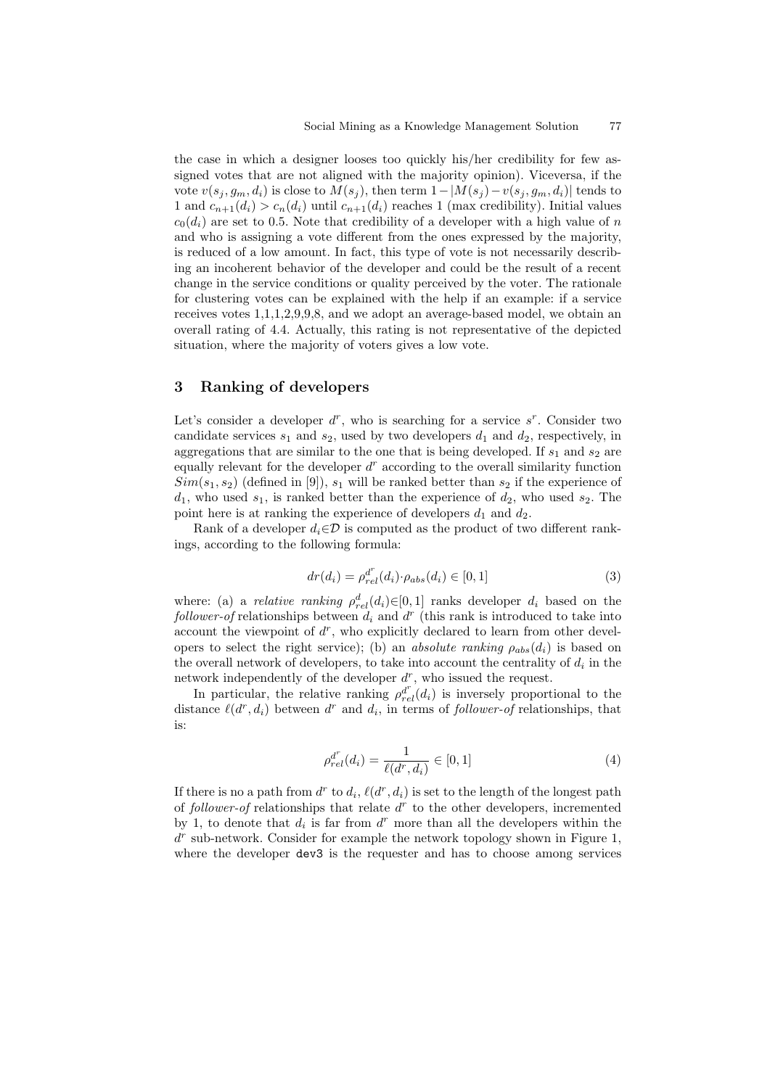the case in which a designer looses too quickly his/her credibility for few assigned votes that are not aligned with the majority opinion). Viceversa, if the vote  $v(s_i, g_m, d_i)$  is close to  $M(s_i)$ , then term  $1-|M(s_i) - v(s_i, g_m, d_i)|$  tends to 1 and  $c_{n+1}(d_i) > c_n(d_i)$  until  $c_{n+1}(d_i)$  reaches 1 (max credibility). Initial values  $c_0(d_i)$  are set to 0.5. Note that credibility of a developer with a high value of n and who is assigning a vote different from the ones expressed by the majority, is reduced of a low amount. In fact, this type of vote is not necessarily describing an incoherent behavior of the developer and could be the result of a recent change in the service conditions or quality perceived by the voter. The rationale for clustering votes can be explained with the help if an example: if a service receives votes 1,1,1,2,9,9,8, and we adopt an average-based model, we obtain an overall rating of 4.4. Actually, this rating is not representative of the depicted situation, where the majority of voters gives a low vote.

## 3 Ranking of developers

Let's consider a developer  $d^r$ , who is searching for a service  $s^r$ . Consider two candidate services  $s_1$  and  $s_2$ , used by two developers  $d_1$  and  $d_2$ , respectively, in aggregations that are similar to the one that is being developed. If  $s_1$  and  $s_2$  are equally relevant for the developer  $d^r$  according to the overall similarity function  $Sim(s_1, s_2)$  (defined in [9]),  $s_1$  will be ranked better than  $s_2$  if the experience of  $d_1$ , who used  $s_1$ , is ranked better than the experience of  $d_2$ , who used  $s_2$ . The point here is at ranking the experience of developers  $d_1$  and  $d_2$ .

Rank of a developer  $d_i \in \mathcal{D}$  is computed as the product of two different rankings, according to the following formula:

$$
dr(d_i) = \rho_{rel}^{d^r}(d_i) \cdot \rho_{abs}(d_i) \in [0, 1]
$$
\n(3)

where: (a) a *relative ranking*  $\rho_{rel}^d(d_i) \in [0,1]$  ranks developer  $d_i$  based on the  $\text{follower-of relations}$  relationships between  $d_i$  and  $d^r$  (this rank is introduced to take into account the viewpoint of  $d^r$ , who explicitly declared to learn from other developers to select the right service); (b) an *absolute ranking*  $\rho_{abs}(d_i)$  is based on the overall network of developers, to take into account the centrality of  $d_i$  in the network independently of the developer  $d^r$ , who issued the request.

In particular, the relative ranking  $\rho_{rel}^{d^r}(d_i)$  is inversely proportional to the distance  $\ell(d^r, d_i)$  between  $d^r$  and  $d_i$ , in terms of follower-of relationships, that is:

$$
\rho_{rel}^{d^r}(d_i) = \frac{1}{\ell(d^r, d_i)} \in [0, 1] \tag{4}
$$

If there is no a path from  $d^r$  to  $d_i$ ,  $\ell(d^r, d_i)$  is set to the length of the longest path of follower-of relationships that relate  $d^r$  to the other developers, incremented by 1, to denote that  $d_i$  is far from  $d^r$  more than all the developers within the d r sub-network. Consider for example the network topology shown in Figure 1, where the developer dev3 is the requester and has to choose among services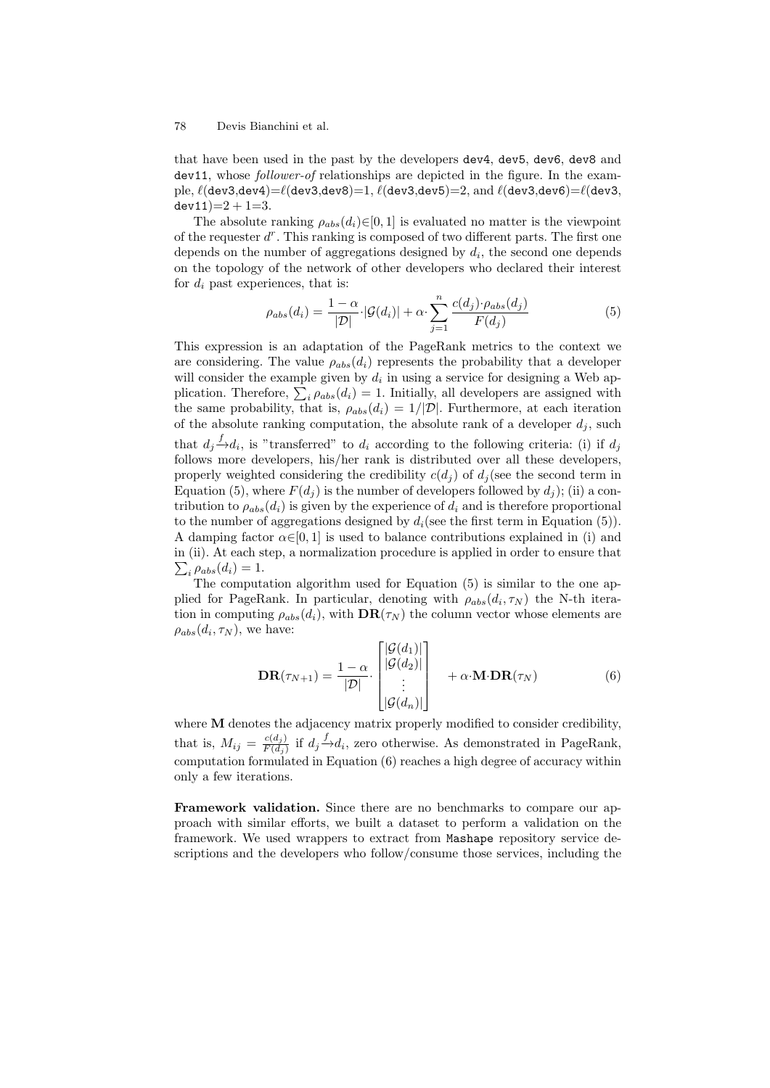that have been used in the past by the developers dev4, dev5, dev6, dev8 and dev11, whose follower-of relationships are depicted in the figure. In the example,  $\ell$ (dev3,dev4)= $\ell$ (dev3,dev8)=1,  $\ell$ (dev3,dev5)=2, and  $\ell$ (dev3,dev6)= $\ell$ (dev3,  $dev11)=2+1=3.$ 

The absolute ranking  $\rho_{abs}(d_i) \in [0, 1]$  is evaluated no matter is the viewpoint of the requester  $d^r$ . This ranking is composed of two different parts. The first one depends on the number of aggregations designed by  $d_i$ , the second one depends on the topology of the network of other developers who declared their interest for  $d_i$  past experiences, that is:

$$
\rho_{abs}(d_i) = \frac{1-\alpha}{|\mathcal{D}|} |\mathcal{G}(d_i)| + \alpha \cdot \sum_{j=1}^{n} \frac{c(d_j) \cdot \rho_{abs}(d_j)}{F(d_j)}
$$
(5)

This expression is an adaptation of the PageRank metrics to the context we are considering. The value  $\rho_{abs}(d_i)$  represents the probability that a developer will consider the example given by  $d_i$  in using a service for designing a Web application. Therefore,  $\sum_{i} \rho_{abs}(d_i) = 1$ . Initially, all developers are assigned with the same probability, that is,  $\rho_{abs}(d_i) = 1/|\mathcal{D}|$ . Furthermore, at each iteration of the absolute ranking computation, the absolute rank of a developer  $d_i$ , such that  $d_j \stackrel{f}{\rightarrow} d_i$ , is "transferred" to  $d_i$  according to the following criteria: (i) if  $d_j$ follows more developers, his/her rank is distributed over all these developers, properly weighted considering the credibility  $c(d_i)$  of  $d_i$  (see the second term in Equation (5), where  $F(d_i)$  is the number of developers followed by  $d_i$ ); (ii) a contribution to  $\rho_{abs}(d_i)$  is given by the experience of  $d_i$  and is therefore proportional to the number of aggregations designed by  $d_i$  (see the first term in Equation (5)). A damping factor  $\alpha \in [0, 1]$  is used to balance contributions explained in (i) and in (ii). At each step, a normalization procedure is applied in order to ensure that  $\sum_i \rho_{abs}(d_i) = 1.$ 

The computation algorithm used for Equation (5) is similar to the one applied for PageRank. In particular, denoting with  $\rho_{abs}(d_i, \tau_N)$  the N-th iteration in computing  $\rho_{abs}(d_i)$ , with  $\mathbf{DR}(\tau_N)$  the column vector whose elements are  $\rho_{abs}(d_i, \tau_N)$ , we have:

$$
\mathbf{DR}(\tau_{N+1}) = \frac{1-\alpha}{|\mathcal{D}|} \cdot \begin{bmatrix} |\mathcal{G}(d_1)| \\ |\mathcal{G}(d_2)| \\ \vdots \\ |\mathcal{G}(d_n)| \end{bmatrix} + \alpha \cdot \mathbf{M} \cdot \mathbf{DR}(\tau_N)
$$
(6)

where **M** denotes the adjacency matrix properly modified to consider credibility, that is,  $M_{ij} = \frac{c(d_j)}{F(d_i)}$  $\frac{c(d_j)}{F(d_j)}$  if  $d_j \stackrel{f}{\rightarrow} d_i$ , zero otherwise. As demonstrated in PageRank, computation formulated in Equation (6) reaches a high degree of accuracy within only a few iterations.

Framework validation. Since there are no benchmarks to compare our approach with similar efforts, we built a dataset to perform a validation on the framework. We used wrappers to extract from Mashape repository service descriptions and the developers who follow/consume those services, including the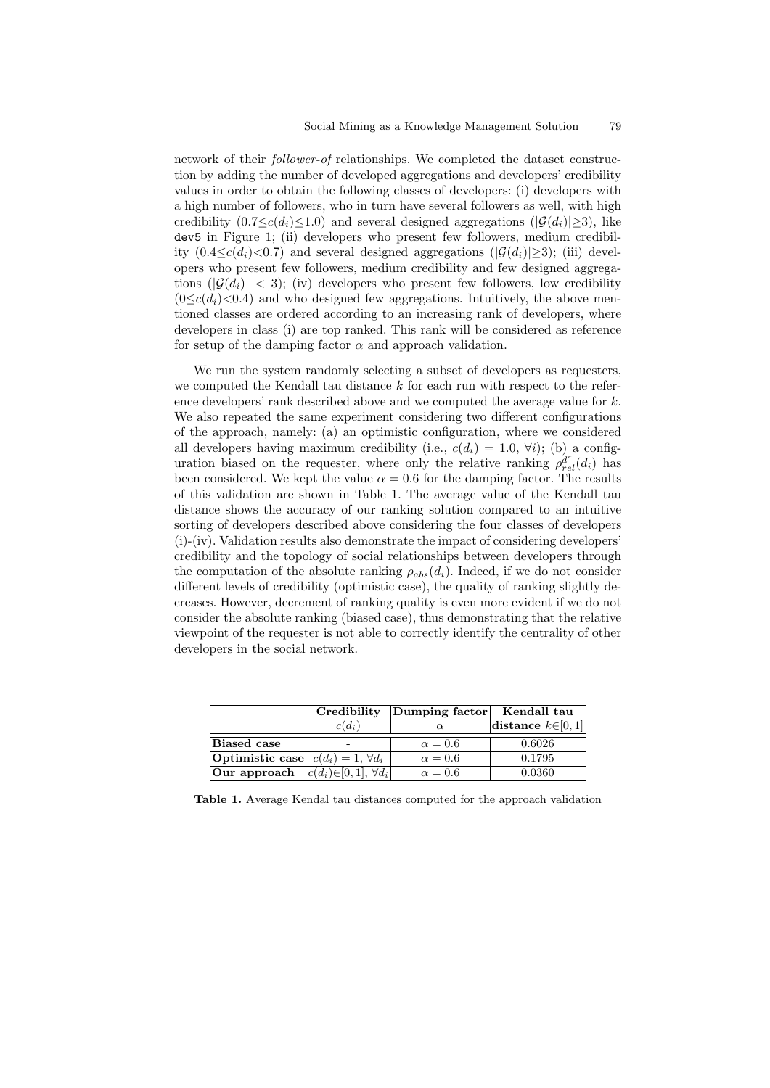network of their follower-of relationships. We completed the dataset construction by adding the number of developed aggregations and developers' credibility values in order to obtain the following classes of developers: (i) developers with a high number of followers, who in turn have several followers as well, with high credibility  $(0.7 \leq c(d_i) \leq 1.0)$  and several designed aggregations  $(|\mathcal{G}(d_i)|>3)$ , like dev5 in Figure 1; (ii) developers who present few followers, medium credibility  $(0.4 \leq c(d_i) \leq 0.7)$  and several designed aggregations  $(|\mathcal{G}(d_i)|>3)$ ; (iii) developers who present few followers, medium credibility and few designed aggregations  $(|\mathcal{G}(d_i)| < 3)$ ; (iv) developers who present few followers, low credibility  $(0 \leq c(d_i) < 0.4)$  and who designed few aggregations. Intuitively, the above mentioned classes are ordered according to an increasing rank of developers, where developers in class (i) are top ranked. This rank will be considered as reference for setup of the damping factor  $\alpha$  and approach validation.

We run the system randomly selecting a subset of developers as requesters, we computed the Kendall tau distance  $k$  for each run with respect to the reference developers' rank described above and we computed the average value for k. We also repeated the same experiment considering two different configurations of the approach, namely: (a) an optimistic configuration, where we considered all developers having maximum credibility (i.e.,  $c(d_i) = 1.0, \forall i$ ); (b) a configuration biased on the requester, where only the relative ranking  $\rho_{rel}^{d^r}(d_i)$  has been considered. We kept the value  $\alpha = 0.6$  for the damping factor. The results of this validation are shown in Table 1. The average value of the Kendall tau distance shows the accuracy of our ranking solution compared to an intuitive sorting of developers described above considering the four classes of developers (i)-(iv). Validation results also demonstrate the impact of considering developers' credibility and the topology of social relationships between developers through the computation of the absolute ranking  $\rho_{abs}(d_i)$ . Indeed, if we do not consider different levels of credibility (optimistic case), the quality of ranking slightly decreases. However, decrement of ranking quality is even more evident if we do not consider the absolute ranking (biased case), thus demonstrating that the relative viewpoint of the requester is not able to correctly identify the centrality of other developers in the social network.

|                                                  | Credibility                      | Dumping factor | Kendall tau            |
|--------------------------------------------------|----------------------------------|----------------|------------------------|
|                                                  | $c(d_i)$                         |                | distance $k \in [0,1]$ |
| <b>Biased</b> case                               |                                  | $\alpha = 0.6$ | 0.6026                 |
| <b>Optimistic case</b> $c(d_i) = 1, \forall d_i$ |                                  | $\alpha = 0.6$ | 0.1795                 |
| Our approach                                     | $ c(d_i)\in [0,1], \forall d_i $ | $\alpha = 0.6$ | 0.0360                 |

Table 1. Average Kendal tau distances computed for the approach validation